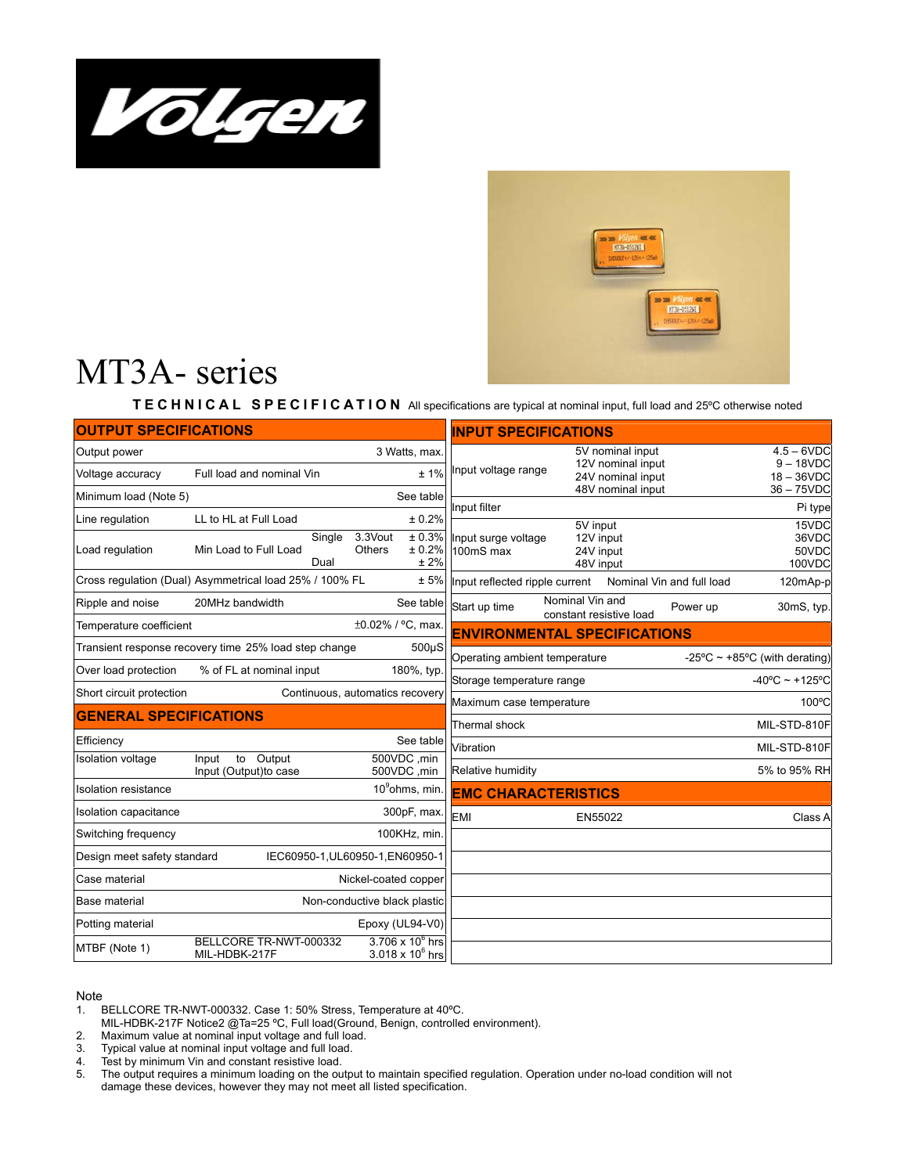



## MT3A- series

**TECHNICAL SPECIFICATION** All specifications are typical at nominal input, full load and 25ºC otherwise noted

| <b>OUTPUT SPECIFICATIONS</b>                                    | <b>INPUT SPECIFICATIONS</b>                             |                                    |                                                    |                                     |                                            |                                                                                 |                           |                                                               |
|-----------------------------------------------------------------|---------------------------------------------------------|------------------------------------|----------------------------------------------------|-------------------------------------|--------------------------------------------|---------------------------------------------------------------------------------|---------------------------|---------------------------------------------------------------|
| Output power<br>Voltage accuracy                                | Full load and nominal Vin                               |                                    | 3 Watts, max.<br>±1%                               | Input voltage range                 |                                            | 5V nominal input<br>12V nominal input<br>24V nominal input<br>48V nominal input |                           | $4.5 - 6VDC$<br>$9 - 18VDC$<br>$18 - 36$ VDC<br>$36 - 75$ VDC |
| See table<br>Minimum load (Note 5)                              |                                                         |                                    | Input filter                                       |                                     |                                            |                                                                                 | Pi type                   |                                                               |
| Line regulation                                                 | LL to HL at Full Load                                   |                                    | ± 0.2%                                             |                                     | 5V input                                   |                                                                                 |                           | 15VDC                                                         |
| Load regulation                                                 | Min Load to Full Load<br>Dual                           | 3.3Vout<br>Single<br><b>Others</b> | ± 0.3%<br>± 0.2%<br>± 2%                           | Input surge voltage<br>100mS max    | 24V input<br>48V input                     | 12V input                                                                       |                           | 36VDC<br>50VDC<br>100VDC                                      |
|                                                                 | Cross regulation (Dual) Asymmetrical load 25% / 100% FL |                                    | ± 5%                                               | Input reflected ripple current      |                                            |                                                                                 | Nominal Vin and full load | 120mAp-p                                                      |
| Ripple and noise                                                | 20MHz bandwidth                                         |                                    | See table                                          | Start up time                       | Nominal Vin and<br>constant resistive load |                                                                                 | Power up                  | 30mS, typ.                                                    |
| Temperature coefficient                                         |                                                         |                                    | ±0.02% / °C, max                                   | <b>ENVIRONMENTAL SPECIFICATIONS</b> |                                            |                                                                                 |                           |                                                               |
|                                                                 | Transient response recovery time 25% load step change   |                                    | $500\mu S$                                         | Operating ambient temperature       |                                            |                                                                                 |                           | -25°C $\sim$ +85°C (with derating)                            |
| Over load protection                                            | % of FL at nominal input                                |                                    | 180%, typ.                                         | Storage temperature range           |                                            |                                                                                 |                           | $-40^{\circ}$ C ~ +125°C                                      |
| Continuous, automatics recovery<br>Short circuit protection     |                                                         |                                    | Maximum case temperature                           |                                     |                                            | 100°C                                                                           |                           |                                                               |
| <b>GENERAL SPECIFICATIONS</b>                                   |                                                         |                                    | Thermal shock                                      |                                     |                                            |                                                                                 | MIL-STD-810F              |                                                               |
| Efficiency                                                      |                                                         |                                    | See table                                          | Vibration                           |                                            |                                                                                 |                           | MIL-STD-810F                                                  |
| Isolation voltage                                               | to Output<br>Input<br>Input (Output) to case            |                                    | 500VDC, min<br>500VDC, min                         | Relative humidity                   |                                            |                                                                                 |                           | 5% to 95% RH                                                  |
| <b>Isolation resistance</b>                                     |                                                         |                                    | 10 <sup>9</sup> ohms, min                          | <b>EMC CHARACTERISTICS</b>          |                                            |                                                                                 |                           |                                                               |
| Isolation capacitance                                           |                                                         |                                    | 300pF, max.                                        | <b>EMI</b>                          |                                            | EN55022                                                                         |                           | Class A                                                       |
| Switching frequency                                             |                                                         |                                    | 100KHz, min.                                       |                                     |                                            |                                                                                 |                           |                                                               |
| Design meet safety standard<br>IEC60950-1, UL60950-1, EN60950-1 |                                                         |                                    |                                                    |                                     |                                            |                                                                                 |                           |                                                               |
| Case material<br>Nickel-coated copper                           |                                                         |                                    |                                                    |                                     |                                            |                                                                                 |                           |                                                               |
| Non-conductive black plastic<br>Base material                   |                                                         |                                    |                                                    |                                     |                                            |                                                                                 |                           |                                                               |
| Potting material                                                |                                                         |                                    | Epoxy (UL94-V0)                                    |                                     |                                            |                                                                                 |                           |                                                               |
| MTBF (Note 1)                                                   | BELLCORE TR-NWT-000332<br>MIL-HDBK-217F                 |                                    | $3.706 \times 10^6$ hrs<br>$3.018 \times 10^6$ hrs |                                     |                                            |                                                                                 |                           |                                                               |

## Note

- 1. BELLCORE TR-NWT-000332. Case 1: 50% Stress, Temperature at 40ºC.
- MIL-HDBK-217F Notice2 @Ta=25 ºC, Full load(Ground, Benign, controlled environment).
- 2. Maximum value at nominal input voltage and full load.<br>3. Typical value at nominal input voltage and full load.
- Typical value at nominal input voltage and full load.
- 4. Test by minimum Vin and constant resistive load.
- 5. The output requires a minimum loading on the output to maintain specified regulation. Operation under no-load condition will not damage these devices, however they may not meet all listed specification.